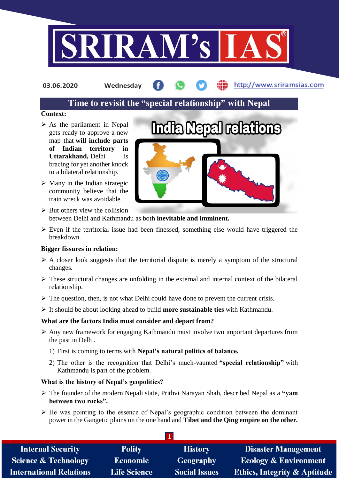

**03.06.2020 Wednesday**

http://www.sriramsias.com

# **Time to revisit the "special relationship" with Nepal**

#### **Context:**

- $\triangleright$  As the parliament in Nepal gets ready to approve a new map that **will include parts of Indian territory in Uttarakhand,** Delhi is bracing for yet another knock to a bilateral relationship.
- $\triangleright$  Many in the Indian strategic community believe that the train wreck was avoidable.
- $\triangleright$  But others view the collision between Delhi and Kathmandu as both **inevitable and imminent.**
- $\triangleright$  Even if the territorial issue had been finessed, something else would have triggered the breakdown.

## **Bigger fissures in relation:**

- $\triangleright$  A closer look suggests that the territorial dispute is merely a symptom of the structural changes.
- $\triangleright$  These structural changes are unfolding in the external and internal context of the bilateral relationship.
- $\triangleright$  The question, then, is not what Delhi could have done to prevent the current crisis.
- It should be about looking ahead to build **more sustainable ties** with Kathmandu.

## **What are the factors India must consider and depart from?**

- Any new framework for engaging Kathmandu must involve two important departures from the past in Delhi.
	- 1) First is coming to terms with **Nepal's natural politics of balance.**
	- 2) The other is the recognition that Delhi's much-vaunted **"special relationship"** with Kathmandu is part of the problem.

## **What is the history of Nepal's geopolitics?**

- The founder of the modern Nepali state, Prithvi Narayan Shah, described Nepal as a **"yam between two rocks".**
- $\triangleright$  He was pointing to the essence of Nepal's geographic condition between the dominant power in the Gangetic plains on the one hand and **Tibet and the Qing empire on the other.**

**1**

| <b>Internal Security</b>        | <b>Polity</b>       | <b>History</b>       | <b>Disaster Management</b>              |  |  |  |
|---------------------------------|---------------------|----------------------|-----------------------------------------|--|--|--|
| <b>Science &amp; Technology</b> | <b>Economic</b>     | <b>Geography</b>     | <b>Ecology &amp; Environment</b>        |  |  |  |
| International Relations         | <b>Life Science</b> | <b>Social Issues</b> | <b>Ethics, Integrity &amp; Aptitude</b> |  |  |  |

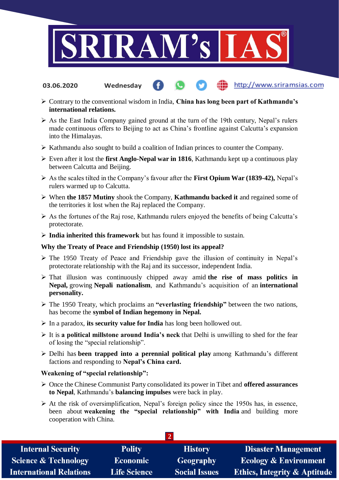

- http://www.sriramsias.com **03.06.2020 Wednesday**
- Contrary to the conventional wisdom in India, **China has long been part of Kathmandu's international relations.**
- $\triangleright$  As the East India Company gained ground at the turn of the 19th century, Nepal's rulers made continuous offers to Beijing to act as China's frontline against Calcutta's expansion into the Himalayas.
- $\triangleright$  Kathmandu also sought to build a coalition of Indian princes to counter the Company.
- Even after it lost the **first Anglo-Nepal war in 1816**, Kathmandu kept up a continuous play between Calcutta and Beijing.
- As the scales tilted in the Company's favour after the **First Opium War (1839-42),** Nepal's rulers warmed up to Calcutta.
- When **the 1857 Mutiny** shook the Company, **Kathmandu backed it** and regained some of the territories it lost when the Raj replaced the Company.
- $\triangleright$  As the fortunes of the Raj rose, Kathmandu rulers enjoyed the benefits of being Calcutta's protectorate.
- **India inherited this framework** but has found it impossible to sustain.

## **Why the Treaty of Peace and Friendship (1950) lost its appeal?**

- $\triangleright$  The 1950 Treaty of Peace and Friendship gave the illusion of continuity in Nepal's protectorate relationship with the Raj and its successor, independent India.
- That illusion was continuously chipped away amid **the rise of mass politics in Nepal,** growing **Nepali nationalism**, and Kathmandu's acquisition of an **international personality.**
- The 1950 Treaty, which proclaims an **"everlasting friendship"** between the two nations, has become the **symbol of Indian hegemony in Nepal.**
- In a paradox, **its security value for India** has long been hollowed out.
- $\triangleright$  It is a **political millstone around India's neck** that Delhi is unwilling to shed for the fear of losing the "special relationship".
- Delhi has **been trapped into a perennial political play** among Kathmandu's different factions and responding to **Nepal's China card.**

## **Weakening of "special relationship":**

- Once the Chinese Communist Party consolidated its power in Tibet and **offered assurances to Nepal**, Kathmandu's **balancing impulses** were back in play.
- $\triangleright$  At the risk of oversimplification, Nepal's foreign policy since the 1950s has, in essence, been about **weakening the "special relationship" with India** and building more cooperation with China.

| <b>Internal Security</b>        | <b>Polity</b>       | <b>History</b>       | <b>Disaster Management</b>              |  |  |
|---------------------------------|---------------------|----------------------|-----------------------------------------|--|--|
| <b>Science &amp; Technology</b> | <b>Economic</b>     | Geography            | <b>Ecology &amp; Environment</b>        |  |  |
| <b>International Relations</b>  | <b>Life Science</b> | <b>Social Issues</b> | <b>Ethics, Integrity &amp; Aptitude</b> |  |  |